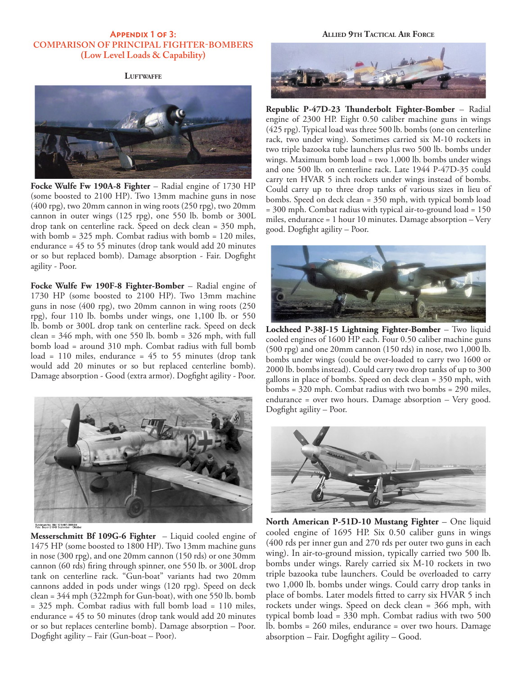# **Appendix 1 of 3: COMPARISON OF PRINCIPAL FIGHTER-BOMBERS (Low Level Loads & Capability)**

# **Luftwaffe**



**Focke Wulfe Fw 190A-8 Fighter** – Radial engine of 1730 HP (some boosted to 2100 HP). Two 13mm machine guns in nose (400 rpg), two 20mm cannon in wing roots (250 rpg), two 20mm cannon in outer wings (125 rpg), one 550 lb. bomb or 300L drop tank on centerline rack. Speed on deck clean = 350 mph, with bomb = 325 mph. Combat radius with bomb = 120 miles, endurance = 45 to 55 minutes (drop tank would add 20 minutes or so but replaced bomb). Damage absorption - Fair. Dogfight agility - Poor.

**Focke Wulfe Fw 190F-8 Fighter-Bomber** – Radial engine of 1730 HP (some boosted to 2100 HP). Two 13mm machine guns in nose (400 rpg), two 20mm cannon in wing roots (250 rpg), four 110 lb. bombs under wings, one 1,100 lb. or 550 lb. bomb or 300L drop tank on centerline rack. Speed on deck clean = 346 mph, with one 550 lb. bomb = 326 mph, with full bomb load = around 310 mph. Combat radius with full bomb load = 110 miles, endurance = 45 to 55 minutes (drop tank would add 20 minutes or so but replaced centerline bomb). Damage absorption - Good (extra armor). Dogfight agility - Poor.



Bundesarchiv, Bild 1011-487-3008-04<br>Foto: Boyer | 1943 September - Oktobe

**Messerschmitt Bf 109G-6 Fighter** – Liquid cooled engine of 1475 HP (some boosted to 1800 HP). Two 13mm machine guns in nose (300 rpg), and one 20mm cannon (150 rds) or one 30mm cannon (60 rds) firing through spinner, one 550 lb. or 300L drop tank on centerline rack. "Gun-boat" variants had two 20mm cannons added in pods under wings (120 rpg). Speed on deck clean = 344 mph (322mph for Gun-boat), with one 550 lb. bomb = 325 mph. Combat radius with full bomb load = 110 miles, endurance = 45 to 50 minutes (drop tank would add 20 minutes or so but replaces centerline bomb). Damage absorption – Poor. Dogfight agility – Fair (Gun-boat – Poor).

## **Allied 9th Tactical Air Force**



**Republic P-47D-23 Thunderbolt Fighter-Bomber** – Radial engine of 2300 HP. Eight 0.50 caliber machine guns in wings (425 rpg). Typical load was three 500 lb. bombs (one on centerline rack, two under wing). Sometimes carried six M-10 rockets in two triple bazooka tube launchers plus two 500 lb. bombs under wings. Maximum bomb load = two 1,000 lb. bombs under wings and one 500 lb. on centerline rack. Late 1944 P-47D-35 could carry ten HVAR 5 inch rockets under wings instead of bombs. Could carry up to three drop tanks of various sizes in lieu of bombs. Speed on deck clean = 350 mph, with typical bomb load = 300 mph. Combat radius with typical air-to-ground load = 150 miles, endurance = 1 hour 10 minutes. Damage absorption – Very good. Dogfight agility – Poor.



**Lockheed P-38J-15 Lightning Fighter-Bomber** – Two liquid cooled engines of 1600 HP each. Four 0.50 caliber machine guns (500 rpg) and one 20mm cannon (150 rds) in nose, two 1,000 lb. bombs under wings (could be over-loaded to carry two 1600 or 2000 lb. bombs instead). Could carry two drop tanks of up to 300 gallons in place of bombs. Speed on deck clean = 350 mph, with bombs = 320 mph. Combat radius with two bombs = 290 miles, endurance = over two hours. Damage absorption – Very good. Dogfight agility – Poor.



**North American P-51D-10 Mustang Fighter** – One liquid cooled engine of 1695 HP. Six 0.50 caliber guns in wings (400 rds per inner gun and 270 rds per outer two guns in each wing). In air-to-ground mission, typically carried two 500 lb. bombs under wings. Rarely carried six M-10 rockets in two triple bazooka tube launchers. Could be overloaded to carry two 1,000 lb. bombs under wings. Could carry drop tanks in place of bombs. Later models fitted to carry six HVAR 5 inch rockets under wings. Speed on deck clean = 366 mph, with typical bomb load = 330 mph. Combat radius with two 500 lb. bombs = 260 miles, endurance = over two hours. Damage absorption – Fair. Dogfight agility – Good.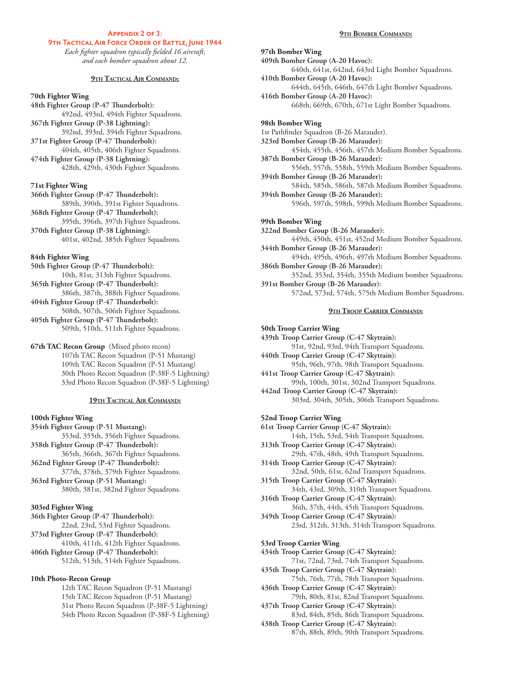# **Appendix 2 of 3:**

# **9TH TACTICAL AIR FORCE ORDER OF BATTLE, JUNE 1944**

*Each fighter squadron typically fielded 16 aircraft, and each bomber squadron about 12.*

## **9th Tactical Air Command:**

#### **70th Fighter Wing**

**48th Fighter Group (P-47 Thunderbolt):** 492nd, 493rd, 494th Fighter Squadrons. **367th Fighter Group (P-38 Lightning):** 392nd, 393rd, 394th Fighter Squadrons. **371st Fighter Group (P-47 Thunderbolt):** 404th, 405th, 406th Fighter Squadrons. **474th Fighter Group (P-38 Lightning):** 428th, 429th, 430th Fighter Squadrons.

#### **71st Fighter Wing**

**366th Fighter Group (P-47 Thunderbolt):** 389th, 390th, 391st Fighter Squadrons. **368th Fighter Group (P-47 Thunderbolt):** 395th, 396th, 397th Fighter Squadrons. **370th Fighter Group (P-38 Lightning):** 401st, 402nd, 385th Fighter Squadrons.

# **84th Fighter Wing**

**50th Fighter Group (P-47 Thunderbolt):** 10th, 81st, 313th Fighter Squadrons. **365th Fighter Group (P-47 Thunderbolt):** 386th, 387th, 388th Fighter Squadrons. **404th Fighter Group (P-47 Thunderbolt):** 508th, 507th, 506th Fighter Squadrons. **405th Fighter Group (P-47 Thunderbolt):** 509th, 510th, 511th Fighter Squadrons.

**67th TAC Recon Group** (Mixed photo recon) 107th TAC Recon Squadron (P-51 Mustang) 109th TAC Recon Squadron (P-51 Mustang) 30th Photo Recon Squadron (P-38F-5 Lightning) 33rd Photo Recon Squadron (P-38F-5 Lightning)

#### **19th Tactical Air Command:**

#### **100th Fighter Wing**

**354th Fighter Group (P-51 Mustang):** 353rd, 355th, 356th Fighter Squadrons. **358th Fighter Group (P-47 Thunderbolt):** 365th, 366th, 367th Fighter Squadrons. **362nd Fighter Group (P-47 Thunderbolt):** 377th, 378th, 379th Fighter Squadrons. **363rd Fighter Group (P-51 Mustang):** 380th, 381st, 382nd Fighter Squadrons.

#### **303rd Fighter Wing**

**36th Fighter Group (P-47 Thunderbolt):** 22nd, 23rd, 53rd Fighter Squadrons. **373rd Fighter Group (P-47 Thunderbolt):** 410th, 411th, 412th Fighter Squadrons. **406th Fighter Group (P-47 Thunderbolt):** 512th, 513th, 514th Fighter Squadrons.

# **10th Photo-Recon Group**

12th TAC Recon Squadron (P-51 Mustang) 15th TAC Recon Squadron (P-51 Mustang) 31st Photo Recon Squadron (P-38F-5 Lightning) 34th Photo Recon Squadron (P-38F-5 Lightning)

#### **9th Bomber Command:**

**97th Bomber Wing 409th Bomber Group (A-20 Havoc):** 640th, 641st, 642nd, 643rd Light Bomber Squadrons. **410th Bomber Group (A-20 Havoc):** 644th, 645th, 646th, 647th Light Bomber Squadrons. **416th Bomber Group (A-20 Havoc):** 668th, 669th, 670th, 671st Light Bomber Squadrons.

#### **98th Bomber Wing**

1st Pathfinder Squadron (B-26 Marauder).

**323rd Bomber Group (B-26 Marauder):** 454th, 455th, 456th, 457th Medium Bomber Squadrons. **387th Bomber Group (B-26 Marauder):**

556th, 557th, 558th, 559th Medium Bomber Squadrons. **394th Bomber Group (B-26 Marauder):**

584th, 585th, 586th, 587th Medium Bomber Squadrons. **394th Bomber Group (B-26 Marauder):**

596th, 597th, 598th, 599th Medium Bomber Squadrons.

#### **99th Bomber Wing**

**322nd Bomber Group (B-26 Marauder):** 449th, 450th, 451st, 452nd Medium Bomber Squadrons. **344th Bomber Group (B-26 Marauder):** 494th, 495th, 496th, 497th Medium Bomber Squadrons. **386th Bomber Group (B-26 Marauder):**

352nd, 353rd, 354th, 355th Medium bomber Squadrons. **391st Bomber Group (B-26 Marauder):**

572nd, 573rd, 574th, 575th Medium Bomber Squadrons.

#### **9th Troop Carrier Command:**

**50th Troop Carrier Wing 439th Troop Carrier Group (C-47 Skytrain):** 91st, 92nd, 93rd, 94th Transport Squadrons. **440th Troop Carrier Group (C-47 Skytrain):** 95th, 96th, 97th, 98th Transport Squadrons. **441st Troop Carrier Group (C-47 Skytrain):** 99th, 100th, 301st, 302nd Transport Squadrons. **442nd Troop Carrier Group (C-47 Skytrain):** 303rd, 304th, 305th, 306th Transport Squadrons.

# **52nd Troop Carrier Wing**

**61st Troop Carrier Group (C-47 Skytrain):** 14th, 15th, 53rd, 54th Transport Squadrons. **313th Troop Carrier Group (C-47 Skytrain):** 29th, 47th, 48th, 49th Transport Squadrons. **314th Troop Carrier Group (C-47 Skytrain):** 32nd, 50th, 61st, 62nd Transport Squadrons. **315th Troop Carrier Group (C-47 Skytrain):** 34th, 43rd, 309th, 310th Transport Squadrons. **316th Troop Carrier Group (C-47 Skytrain):** 36th, 37th, 44th, 45th Transport Squadrons. **349th Troop Carrier Group (C-47 Skytrain):** 23rd, 312th, 313th, 314th Transport Squadrons. **53rd Troop Carrier Wing 434th Troop Carrier Group (C-47 Skytrain):** 71st, 72nd, 73rd, 74th Transport Squadrons.

**435th Troop Carrier Group (C-47 Skytrain):** 75th, 76th, 77th, 78th Transport Squadrons.

**436th Troop Carrier Group (C-47 Skytrain):** 79th, 80th, 81st, 82nd Transport Squadrons.

**437th Troop Carrier Group (C-47 Skytrain):** 83rd, 84th, 85th, 86th Transport Squadrons.

**438th Troop Carrier Group (C-47 Skytrain):** 87th, 88th, 89th, 90th Transport Squadrons.